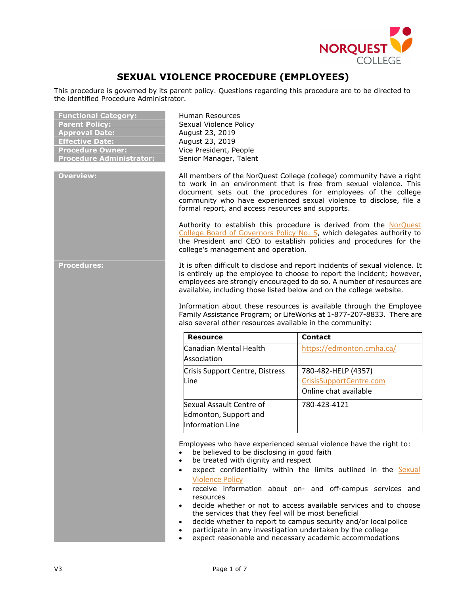

# **SEXUAL VIOLENCE PROCEDURE (EMPLOYEES)**

This procedure is governed by its parent policy. Questions regarding this procedure are to be directed to the identified Procedure Administrator.

| <b>Functional Category:</b>     | Hun                 |
|---------------------------------|---------------------|
| <b>Parent Policy:</b>           | Sex                 |
| <b>Approval Date:</b>           | Aug                 |
| <b>Effective Date:</b>          | Aug                 |
| <b>Procedure Owner:</b>         | Vice                |
| <b>Procedure Administrator:</b> | Seni                |
|                                 |                     |
| <b>Overview:</b>                | All<br>$\mathsf{r}$ |
|                                 |                     |

**Functional Category:** Human Resources **Paral Violence Policy August 23, 2019 East 23, 2019** President, People **Procetal** Manager, Talent

**Overview:** All members of the NorQuest College (college) community have a right to work in an environment that is free from sexual violence. This document sets out the procedures for employees of the college community who have experienced sexual violence to disclose, file a formal report, and access resources and supports.

Authority to establish this procedure is derived from the NorQuest [College Board of Governors Policy No. 5,](https://www.norquest.ca/NorquestCollege/media/pdf/about-us/board/policies-procedures/05-Board-Policy_Delegate_authority_to_President.pdf) which delegates authority to the President and CEO to establish policies and procedures for the college's management and operation.

**Procedures:** It is often difficult to disclose and report incidents of sexual violence. It is entirely up the employee to choose to report the incident; however, employees are strongly encouraged to do so. A number of resources are available, including those listed below and on the college website.

> Information about these resources is available through the Employee Family Assistance Program; or LifeWorks at 1-877-207-8833. There are also several other resources available in the community:

| <b>Resource</b>                                                       | <b>Contact</b>                                                          |
|-----------------------------------------------------------------------|-------------------------------------------------------------------------|
| Canadian Mental Health<br>Association                                 | https://edmonton.cmha.ca/                                               |
| Crisis Support Centre, Distress<br>Line                               | 780-482-HELP (4357)<br>CrisisSupportCentre.com<br>Online chat available |
| Sexual Assault Centre of<br>Edmonton, Support and<br>Information Line | 780-423-4121                                                            |

Employees who have experienced sexual violence have the right to:

- be believed to be disclosing in good faith
- be treated with dignity and respect
- expect confidentiality within the limits outlined in the Sexual [Violence Policy](https://www.norquest.ca/about-us/policies-procedures/operations/sexual-violence-policy.aspx)
- receive information about on- and off-campus services and resources
- decide whether or not to access available services and to choose the services that they feel will be most beneficial
- decide whether to report to campus security and/or local police
- participate in any investigation undertaken by the college
- expect reasonable and necessary academic accommodations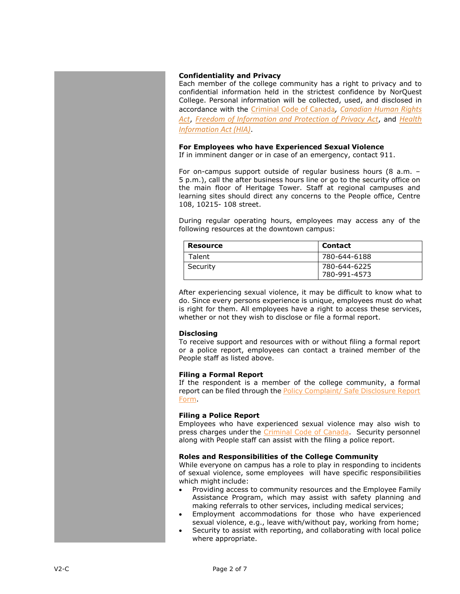# **Confidentiality and Privacy**

Each member of the college community has a right to privacy and to confidential information held in the strictest confidence by NorQuest College. Personal information will be collected, used, and disclosed in accordance with the [Criminal Code of Canada](https://laws-lois.justice.gc.ca/eng/acts/c-46/)*, [Canadian Human Rights](https://laws-lois.justice.gc.ca/eng/acts/h-6/)  [Act](https://laws-lois.justice.gc.ca/eng/acts/h-6/)*, *[Freedom of Information and Protection of Privacy Act](https://www.servicealberta.ca/foip/legislation.cfm)*, and *[Health](http://www.qp.alberta.ca/documents/Acts/H05.pdf)  [Information Act \(HIA\)](http://www.qp.alberta.ca/documents/Acts/H05.pdf)*.

# **For Employees who have Experienced Sexual Violence**

If in imminent danger or in case of an emergency, contact 911.

For on-campus support outside of regular business hours (8 a.m. – 5 p.m.), call the after business hours line or go to the security office on the main floor of Heritage Tower. Staff at regional campuses and learning sites should direct any concerns to the People office, Centre 108, 10215- 108 street.

During regular operating hours, employees may access any of the following resources at the downtown campus:

| Resource | <b>Contact</b>               |
|----------|------------------------------|
| Talent   | 780-644-6188                 |
| Security | 780-644-6225<br>780-991-4573 |

After experiencing sexual violence, it may be difficult to know what to do. Since every persons experience is unique, employees must do what is right for them. All employees have a right to access these services, whether or not they wish to disclose or file a formal report.

# **Disclosing**

To receive support and resources with or without filing a formal report or a police report, employees can contact a trained member of the People staff as listed above.

# **Filing a Formal Report**

If the respondent is a member of the college community, a formal report can be filed through the **Policy Complaint**/ Safe Disclosure Report [Form.](http://theq.norquest.ca/Departments/WDHR/Public-Documents/Forms/Policy-Complaint-Public-Interest-Disclosure-Report.aspx)

# **Filing a Police Report**

Employees who have experienced sexual violence may also wish to press charges under the [Criminal Code of Canada.](https://laws-lois.justice.gc.ca/eng/acts/c-46/) Security personnel along with People staff can assist with the filing a police report.

# **Roles and Responsibilities of the College Community**

While everyone on campus has a role to play in responding to incidents of sexual violence, some employees will have specific responsibilities which might include:

- Providing access to community resources and the Employee Family Assistance Program, which may assist with safety planning and making referrals to other services, including medical services;
- Employment accommodations for those who have experienced sexual violence, e.g., leave with/without pay, working from home;
- Security to assist with reporting, and collaborating with local police where appropriate.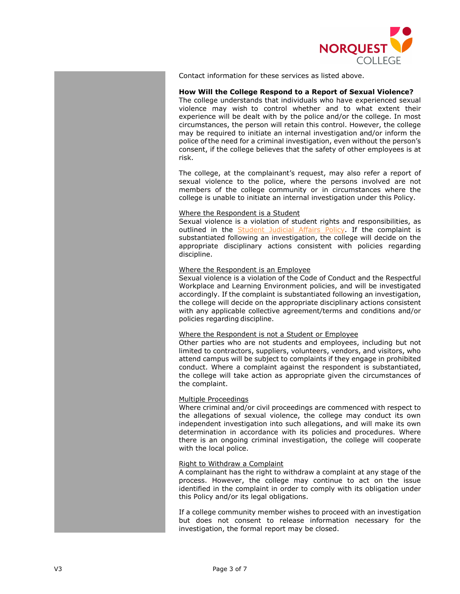

Contact information for these services as listed above.

# **How Will the College Respond to a Report of Sexual Violence?**

The college understands that individuals who have experienced sexual violence may wish to control whether and to what extent their experience will be dealt with by the police and/or the college. In most circumstances, the person will retain this control. However, the college may be required to initiate an internal investigation and/or inform the police ofthe need for a criminal investigation, even without the person's consent, if the college believes that the safety of other employees is at risk.

The college, at the complainant's request, may also refer a report of sexual violence to the police, where the persons involved are not members of the college community or in circumstances where the college is unable to initiate an internal investigation under this Policy.

#### Where the Respondent is a Student

Sexual violence is a violation of student rights and responsibilities, as outlined in the **Student Judicial Affairs Policy**. If the complaint is substantiated following an investigation, the college will decide on the appropriate disciplinary actions consistent with policies regarding discipline.

#### Where the Respondent is an Employee

Sexual violence is a violation of the Code of Conduct and the Respectful Workplace and Learning Environment policies, and will be investigated accordingly. If the complaint is substantiated following an investigation, the college will decide on the appropriate disciplinary actions consistent with any applicable collective agreement/terms and conditions and/or policies regarding discipline.

# Where the Respondent is not a Student or Employee

Other parties who are not students and employees, including but not limited to contractors, suppliers, volunteers, vendors, and visitors, who attend campus will be subject to complaints if they engage in prohibited conduct. Where a complaint against the respondent is substantiated, the college will take action as appropriate given the circumstances of the complaint.

# Multiple Proceedings

Where criminal and/or civil proceedings are commenced with respect to the allegations of sexual violence, the college may conduct its own independent investigation into such allegations, and will make its own determination in accordance with its policies and procedures. Where there is an ongoing criminal investigation, the college will cooperate with the local police.

#### Right to Withdraw a Complaint

A complainant has the right to withdraw a complaint at any stage of the process. However, the college may continue to act on the issue identified in the complaint in order to comply with its obligation under this Policy and/or its legal obligations.

If a college community member wishes to proceed with an investigation but does not consent to release information necessary for the investigation, the formal report may be closed.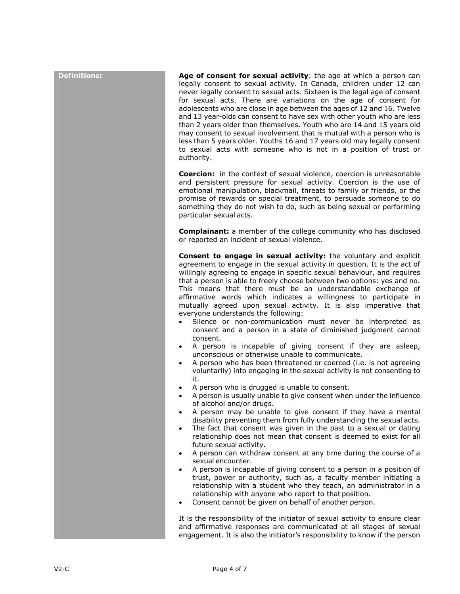**Definitions: Age of consent for sexual activity**: the age at which a person can legally consent to sexual activity. In Canada, children under 12 can never legally consent to sexual acts. Sixteen is the legal age of consent for sexual acts. There are variations on the age of consent for adolescents who are close in age between the ages of 12 and 16. Twelve and 13 year-olds can consent to have sex with other youth who are less than 2 years older than themselves. Youth who are 14 and 15 years old may consent to sexual involvement that is mutual with a person who is less than 5 years older. Youths 16 and 17 years old may legally consent to sexual acts with someone who is not in a position of trust or authority.

> **Coercion:** in the context of sexual violence, coercion is unreasonable and persistent pressure for sexual activity. Coercion is the use of emotional manipulation, blackmail, threats to family or friends, or the promise of rewards or special treatment, to persuade someone to do something they do not wish to do, such as being sexual or performing particular sexual acts.

> **Complainant:** a member of the college community who has disclosed or reported an incident of sexual violence.

> **Consent to engage in sexual activity:** the voluntary and explicit agreement to engage in the sexual activity in question. It is the act of willingly agreeing to engage in specific sexual behaviour, and requires that a person is able to freely choose between two options: yes and no. This means that there must be an understandable exchange of affirmative words which indicates a willingness to participate in mutually agreed upon sexual activity. It is also imperative that everyone understands the following:

- Silence or non-communication must never be interpreted as consent and a person in a state of diminished judgment cannot consent.
- A person is incapable of giving consent if they are asleep, unconscious or otherwise unable to communicate.
- A person who has been threatened or coerced (i.e. is not agreeing voluntarily) into engaging in the sexual activity is not consenting to it.
- A person who is drugged is unable to consent.
- A person is usually unable to give consent when under the influence of alcohol and/or drugs.
- A person may be unable to give consent if they have a mental disability preventing them from fully understanding the sexual acts.
- The fact that consent was given in the past to a sexual or dating relationship does not mean that consent is deemed to exist for all future sexual activity.
- A person can withdraw consent at any time during the course of a sexual encounter.
- A person is incapable of giving consent to a person in a position of trust, power or authority, such as, a faculty member initiating a relationship with a student who they teach, an administrator in a relationship with anyone who report to that position.
- Consent cannot be given on behalf of another person.

It is the responsibility of the initiator of sexual activity to ensure clear and affirmative responses are communicated at all stages of sexual engagement. It is also the initiator's responsibility to know if the person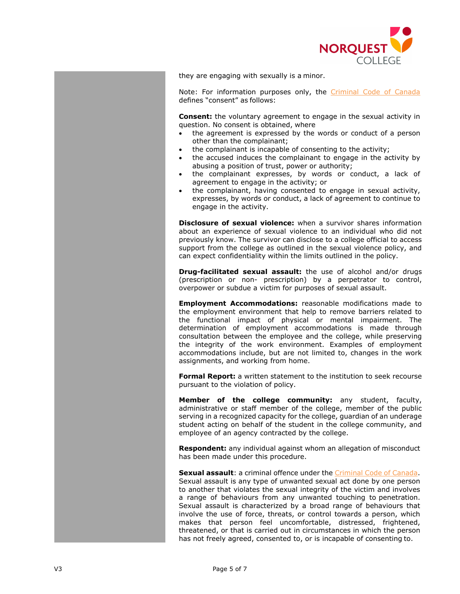

they are engaging with sexually is a minor.

Note: For information purposes only, the [Criminal Code of Canada](https://laws-lois.justice.gc.ca/eng/acts/c-46/) defines "consent" as follows:

**Consent:** the voluntary agreement to engage in the sexual activity in question. No consent is obtained, where

- the agreement is expressed by the words or conduct of a person other than the complainant;
- the complainant is incapable of consenting to the activity;
- the accused induces the complainant to engage in the activity by abusing a position of trust, power or authority;
- the complainant expresses, by words or conduct, a lack of agreement to engage in the activity; or
- the complainant, having consented to engage in sexual activity, expresses, by words or conduct, a lack of agreement to continue to engage in the activity.

**Disclosure of sexual violence:** when a survivor shares information about an experience of sexual violence to an individual who did not previously know. The survivor can disclose to a college official to access support from the college as outlined in the sexual violence policy, and can expect confidentiality within the limits outlined in the policy.

**Drug-facilitated sexual assault:** the use of alcohol and/or drugs (prescription or non- prescription) by a perpetrator to control, overpower or subdue a victim for purposes of sexual assault.

**Employment Accommodations:** reasonable modifications made to the employment environment that help to remove barriers related to the functional impact of physical or mental impairment. The determination of employment accommodations is made through consultation between the employee and the college, while preserving the integrity of the work environment. Examples of employment accommodations include, but are not limited to, changes in the work assignments, and working from home.

**Formal Report:** a written statement to the institution to seek recourse pursuant to the violation of policy.

**Member of the college community:** any student, faculty, administrative or staff member of the college, member of the public serving in a recognized capacity for the college, guardian of an underage student acting on behalf of the student in the college community, and employee of an agency contracted by the college.

**Respondent:** any individual against whom an allegation of misconduct has been made under this procedure.

**Sexual assault**: a criminal offence under the [Criminal Code of Canada.](https://laws-lois.justice.gc.ca/eng/acts/c-46/) Sexual assault is any type of unwanted sexual act done by one person to another that violates the sexual integrity of the victim and involves a range of behaviours from any unwanted touching to penetration. Sexual assault is characterized by a broad range of behaviours that involve the use of force, threats, or control towards a person, which makes that person feel uncomfortable, distressed, frightened, threatened, or that is carried out in circumstances in which the person has not freely agreed, consented to, or is incapable of consenting to.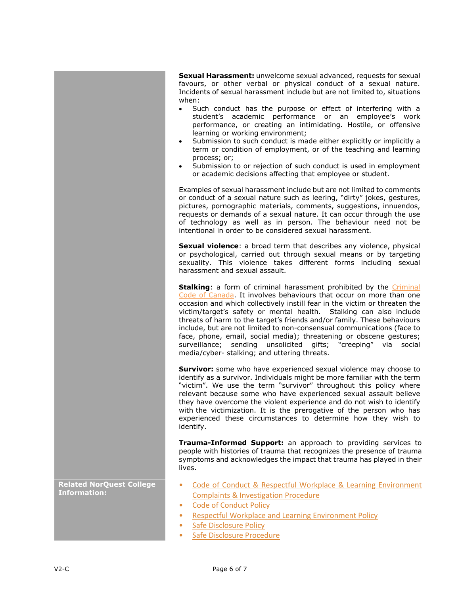**Sexual Harassment:** unwelcome sexual advanced, requests for sexual favours, or other verbal or physical conduct of a sexual nature. Incidents of sexual harassment include but are not limited to, situations when:

- Such conduct has the purpose or effect of interfering with a student's academic performance or an employee's work performance, or creating an intimidating. Hostile, or offensive learning or working environment;
- Submission to such conduct is made either explicitly or implicitly a term or condition of employment, or of the teaching and learning process; or;
- Submission to or rejection of such conduct is used in employment or academic decisions affecting that employee or student.

Examples of sexual harassment include but are not limited to comments or conduct of a sexual nature such as leering, "dirty" jokes, gestures, pictures, pornographic materials, comments, suggestions, innuendos, requests or demands of a sexual nature. It can occur through the use of technology as well as in person. The behaviour need not be intentional in order to be considered sexual harassment.

**Sexual violence**: a broad term that describes any violence, physical or psychological, carried out through sexual means or by targeting sexuality. This violence takes different forms including sexual harassment and sexual assault.

**Stalking**: a form of criminal harassment prohibited by the Criminal [Code of Canada.](https://laws-lois.justice.gc.ca/eng/acts/c-46/) It involves behaviours that occur on more than one occasion and which collectively instill fear in the victim or threaten the victim/target's safety or mental health. Stalking can also include threats of harm to the target's friends and/or family. These behaviours include, but are not limited to non-consensual communications (face to face, phone, email, social media); threatening or obscene gestures; surveillance; sending unsolicited gifts; "creeping" via social media/cyber- stalking; and uttering threats.

**Survivor:** some who have experienced sexual violence may choose to identify as a survivor. Individuals might be more familiar with the term "victim". We use the term "survivor" throughout this policy where relevant because some who have experienced sexual assault believe they have overcome the violent experience and do not wish to identify with the victimization. It is the prerogative of the person who has experienced these circumstances to determine how they wish to identify.

**Trauma-Informed Support:** an approach to providing services to people with histories of trauma that recognizes the presence of trauma symptoms and acknowledges the impact that trauma has played in their lives.

• [Code of Conduct & Respectful Workplace & Learning Environment](https://www.norquest.ca/about-us/policies-procedures-do-not-publish-yet/human-resources/code-of-conduct-policy-(effective-september-1,-2019)/code-of-conduct-respectful-workplace-learning.aspx)  [Complaints & Investigation Procedure](https://www.norquest.ca/about-us/policies-procedures-do-not-publish-yet/human-resources/code-of-conduct-policy-(effective-september-1,-2019)/code-of-conduct-respectful-workplace-learning.aspx)

- [Code of Conduct Policy](https://www.norquest.ca/about-us/policies-procedures/human-resources/code-of-conduct-policy-(effective-september-1,-2019).aspx)
- [Respectful Workplace and Learning Environment Policy](https://www.norquest.ca/about-us/policies-procedures/human-resources/respectful-workplace-and-learning-environment-poli.aspx)
- [Safe Disclosure Policy](https://www.norquest.ca/about-us/policies-procedures/human-resources/safe-disclosure-policy.aspx)
- [Safe Disclosure Procedure](https://www.norquest.ca/about-us/policies-procedures/human-resources/safe-disclosure-policy/safe-disclosure-procedure.aspx)

**Related NorQuest College Information:**